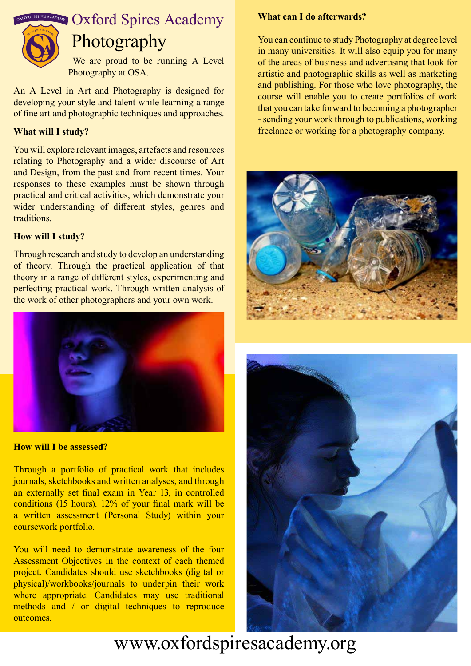

 We are proud to be running A Level Photography at OSA.

An A Level in Art and Photography is designed for developing your style and talent while learning a range of fine art and photographic techniques and approaches.

## **What will I study?**

You will explore relevant images, artefacts and resources relating to Photography and a wider discourse of Art and Design, from the past and from recent times. Your responses to these examples must be shown through practical and critical activities, which demonstrate your wider understanding of different styles, genres and traditions.

#### **How will I study?**

Through research and study to develop an understanding of theory. Through the practical application of that theory in a range of different styles, experimenting and perfecting practical work. Through written analysis of the work of other photographers and your own work.



**How will I be assessed?**

Through a portfolio of practical work that includes journals, sketchbooks and written analyses, and through an externally set final exam in Year 13, in controlled conditions (15 hours). 12% of your final mark will be a written assessment (Personal Study) within your coursework portfolio.

You will need to demonstrate awareness of the four Assessment Objectives in the context of each themed project. Candidates should use sketchbooks (digital or physical)/workbooks/journals to underpin their work where appropriate. Candidates may use traditional methods and / or digital techniques to reproduce outcomes.

#### **What can I do afterwards?**

You can continue to study Photography at degree level in many universities. It will also equip you for many of the areas of business and advertising that look for artistic and photographic skills as well as marketing and publishing. For those who love photography, the course will enable you to create portfolios of work that you can take forward to becoming a photographer - sending your work through to publications, working freelance or working for a photography company.





# www.oxfordspiresacademy.org